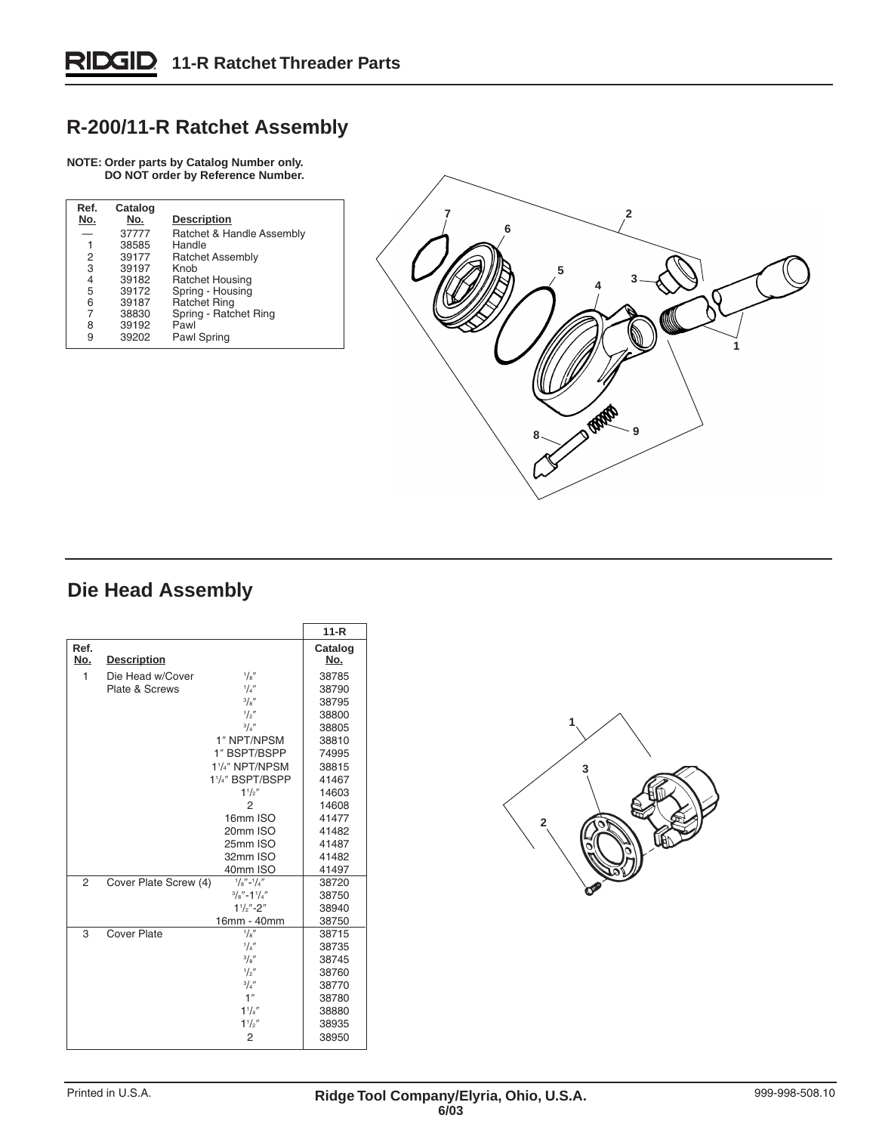## **R-200/11-R Ratchet Assembly**

## **NOTE: Order parts by Catalog Number only. DO NOT order by Reference Number.**

| Ref.<br>No. | Catalog<br>No. | <b>Description</b>        |
|-------------|----------------|---------------------------|
|             | 37777          | Ratchet & Handle Assembly |
| 1           | 38585          | Handle                    |
| 2           | 39177          | <b>Ratchet Assembly</b>   |
| 3           | 39197          | Knob                      |
| 4           | 39182          | Ratchet Housing           |
| 5           | 39172          | Spring - Housing          |
| 6           | 39187          | <b>Ratchet Ring</b>       |
| 7           | 38830          | Spring - Ratchet Ring     |
| 8           | 39192          | Pawl                      |
| 9           | 39202          | Pawl Spring               |
|             |                |                           |



## **Die Head Assembly**

|                |                       |                                           | $11 - R$       |
|----------------|-----------------------|-------------------------------------------|----------------|
| Ref.<br>No.    | <b>Description</b>    |                                           | Catalog<br>No. |
| 1              | Die Head w/Cover      | $^{1}/_{8}$ "                             | 38785          |
|                | Plate & Screws        | 1/4''                                     | 38790          |
|                |                       | 3/8''                                     | 38795          |
|                |                       | $\frac{1}{2}$                             | 38800          |
|                |                       | $^{3}/_{4}$ "                             | 38805          |
|                |                       | 1" NPT/NPSM                               | 38810          |
|                |                       | 1" BSPT/BSPP                              | 74995          |
|                |                       | 1 <sup>1</sup> /4" NPT/NPSM               | 38815          |
|                |                       | 1 <sup>1</sup> / <sub>4</sub> " BSPT/BSPP | 41467          |
|                |                       | 11/s''                                    | 14603          |
|                |                       | $\overline{2}$                            | 14608          |
|                |                       | 16mm ISO                                  | 41477          |
|                |                       | 20mm ISO                                  | 41482          |
|                |                       | 25mm ISO                                  | 41487          |
|                |                       | 32mm ISO                                  | 41482          |
|                |                       | 40mm ISO                                  | 41497          |
| $\mathfrak{p}$ | Cover Plate Screw (4) | $\frac{1}{8}$ "- $\frac{1}{4}$ "          | 38720          |
|                |                       | $^{3}/_{8}$ "-1 $^{1}/_{4}$ "             | 38750          |
|                |                       | $1\frac{1}{2}$ "-2"                       | 38940          |
|                |                       | 16mm - 40mm                               | 38750          |
| 3              | Cover Plate           | 1/8''                                     | 38715          |
|                |                       | $^{1}/_{4}$ "                             | 38735          |
|                |                       | $^{3}/_{8}$ "                             | 38745          |
|                |                       | 1/2''                                     | 38760          |
|                |                       | 3/4''                                     | 38770          |
|                |                       | 1''                                       | 38780          |
|                |                       | $1^{1}/4''$                               | 38880          |
|                |                       | $1^{1}/2''$                               | 38935          |
|                |                       | 2                                         | 38950          |